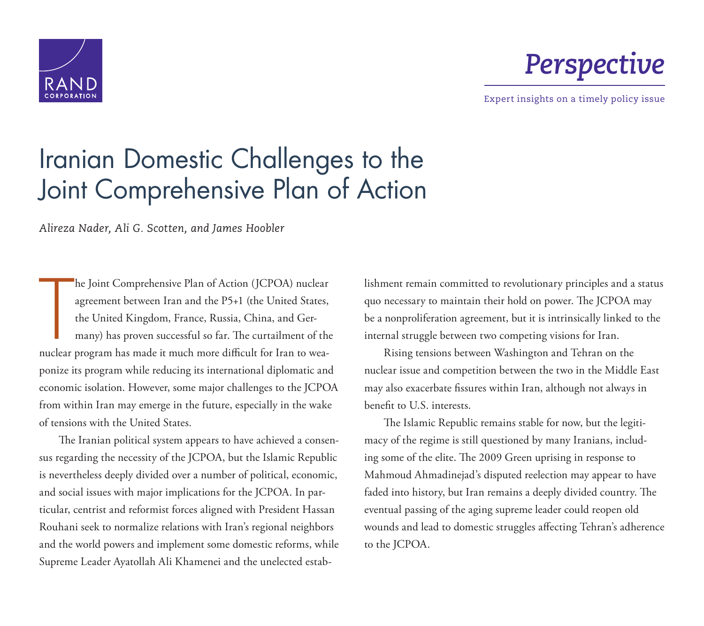



Expert insights on a timely policy issue

# [Iranian Domestic Challenges to the](https://www.rand.org/pubs/perspectives/PE218.html)  Joint Comprehensive Plan of Action

*Alireza Nader, Ali G. Scotten, and James Hoobler*

he Joint Comprehensive Plan of Action (JCPOA) nuclear<br>agreement between Iran and the P5+1 (the United States,<br>the United Kingdom, France, Russia, China, and Ger-<br>many) has proven successful so far. The curtailment of th<br>nu he Joint Comprehensive Plan of Action (JCPOA) nuclear agreement between Iran and the P5+1 (the United States, the United Kingdom, France, Russia, China, and Germany) has proven successful so far. The curtailment of the ponize its program while reducing its international diplomatic and economic isolation. However, some major challenges to the JCPOA from within Iran may emerge in the future, especially in the wake of tensions with the United States.

The Iranian political system appears to have achieved a consensus regarding the necessity of the JCPOA, but the Islamic Republic is nevertheless deeply divided over a number of political, economic, and social issues with major implications for the JCPOA. In particular, centrist and reformist forces aligned with President Hassan Rouhani seek to normalize relations with Iran's regional neighbors and the world powers and implement some domestic reforms, while Supreme Leader Ayatollah Ali Khamenei and the unelected establishment remain committed to revolutionary principles and a status quo necessary to maintain their hold on power. The JCPOA may be a nonproliferation agreement, but it is intrinsically linked to the internal struggle between two competing visions for Iran.

Rising tensions between Washington and Tehran on the nuclear issue and competition between the two in the Middle East may also exacerbate fissures within Iran, although not always in benefit to U.S. interests.

The Islamic Republic remains stable for now, but the legitimacy of the regime is still questioned by many Iranians, including some of the elite. The 2009 Green uprising in response to Mahmoud Ahmadinejad's disputed reelection may appear to have faded into history, but Iran remains a deeply divided country. The eventual passing of the aging supreme leader could reopen old wounds and lead to domestic struggles affecting Tehran's adherence to the JCPOA.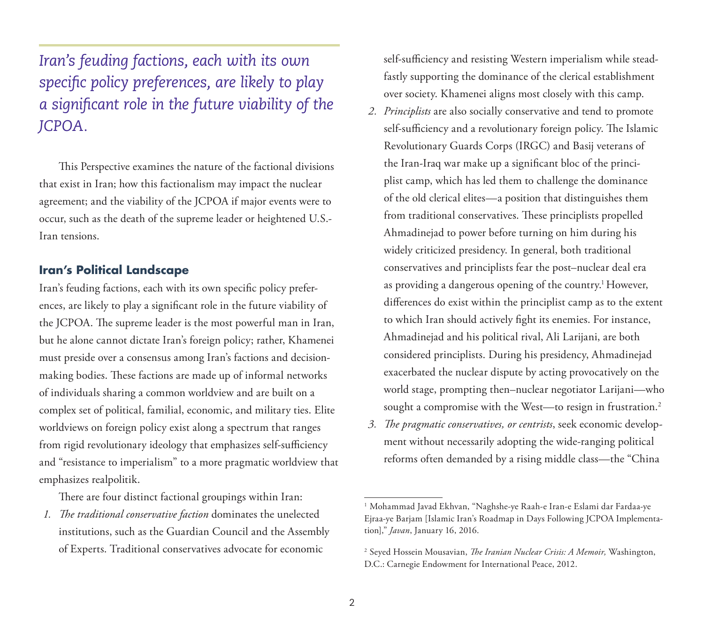*Iran's feuding factions, each with its own specific policy preferences, are likely to play a significant role in the future viability of the JCPOA.*

This Perspective examines the nature of the factional divisions that exist in Iran; how this factionalism may impact the nuclear agreement; and the viability of the JCPOA if major events were to occur, such as the death of the supreme leader or heightened U.S.- Iran tensions.

## **Iran's Political Landscape**

Iran's feuding factions, each with its own specific policy preferences, are likely to play a significant role in the future viability of the JCPOA. The supreme leader is the most powerful man in Iran, but he alone cannot dictate Iran's foreign policy; rather, Khamenei must preside over a consensus among Iran's factions and decisionmaking bodies. These factions are made up of informal networks of individuals sharing a common worldview and are built on a complex set of political, familial, economic, and military ties. Elite worldviews on foreign policy exist along a spectrum that ranges from rigid revolutionary ideology that emphasizes self-sufficiency and "resistance to imperialism" to a more pragmatic worldview that emphasizes realpolitik.

There are four distinct factional groupings within Iran:

*1. The traditional conservative faction* dominates the unelected institutions, such as the Guardian Council and the Assembly of Experts. Traditional conservatives advocate for economic

self-sufficiency and resisting Western imperialism while steadfastly supporting the dominance of the clerical establishment over society. Khamenei aligns most closely with this camp.

- *2. Principlists* are also socially conservative and tend to promote self-sufficiency and a revolutionary foreign policy. The Islamic Revolutionary Guards Corps (IRGC) and Basij veterans of the Iran-Iraq war make up a significant bloc of the principlist camp, which has led them to challenge the dominance of the old clerical elites—a position that distinguishes them from traditional conservatives. These principlists propelled Ahmadinejad to power before turning on him during his widely criticized presidency. In general, both traditional conservatives and principlists fear the post–nuclear deal era as providing a dangerous opening of the country.<sup>1</sup> However, differences do exist within the principlist camp as to the extent to which Iran should actively fight its enemies. For instance, Ahmadinejad and his political rival, Ali Larijani, are both considered principlists. During his presidency, Ahmadinejad exacerbated the nuclear dispute by acting provocatively on the world stage, prompting then–nuclear negotiator Larijani—who sought a compromise with the West—to resign in frustration.<sup>2</sup>
- *3. The pragmatic conservatives, or centrists*, seek economic development without necessarily adopting the wide-ranging political reforms often demanded by a rising middle class—the "China

<sup>1</sup> Mohammad Javad Ekhvan, "Naghshe-ye Raah-e Iran-e Eslami dar Fardaa-ye Ejraa-ye Barjam [Islamic Iran's Roadmap in Days Following JCPOA Implementation]," *Javan*, January 16, 2016.

<sup>2</sup> Seyed Hossein Mousavian, *The Iranian Nuclear Crisis: A Memoir,* Washington, D.C.: Carnegie Endowment for International Peace, 2012.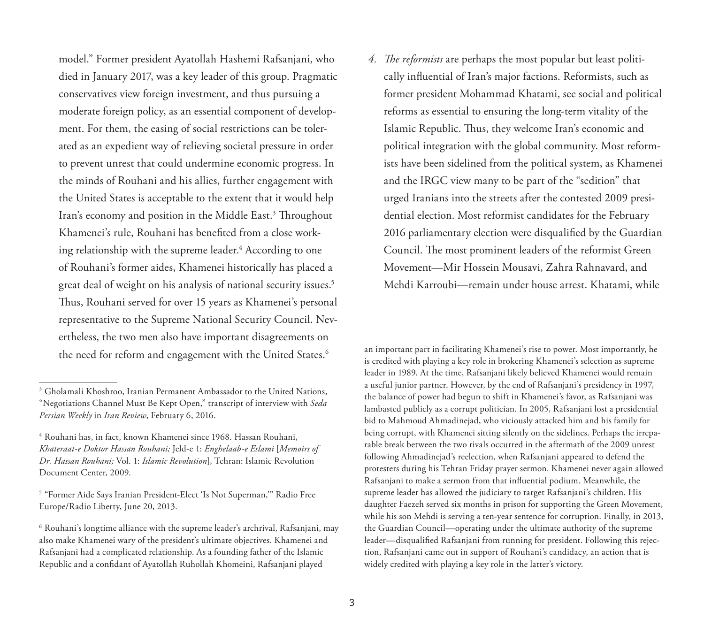model." Former president Ayatollah Hashemi Rafsanjani, who died in January 2017, was a key leader of this group. Pragmatic conservatives view foreign investment, and thus pursuing a moderate foreign policy, as an essential component of development. For them, the easing of social restrictions can be tolerated as an expedient way of relieving societal pressure in order to prevent unrest that could undermine economic progress. In the minds of Rouhani and his allies, further engagement with the United States is acceptable to the extent that it would help Iran's economy and position in the Middle East.<sup>3</sup> Throughout Khamenei's rule, Rouhani has benefited from a close working relationship with the supreme leader.4 According to one of Rouhani's former aides, Khamenei historically has placed a great deal of weight on his analysis of national security issues.5 Thus, Rouhani served for over 15 years as Khamenei's personal representative to the Supreme National Security Council. Nevertheless, the two men also have important disagreements on the need for reform and engagement with the United States.<sup>6</sup>

*4. The reformists* are perhaps the most popular but least politically influential of Iran's major factions. Reformists, such as former president Mohammad Khatami, see social and political reforms as essential to ensuring the long-term vitality of the Islamic Republic. Thus, they welcome Iran's economic and political integration with the global community. Most reformists have been sidelined from the political system, as Khamenei and the IRGC view many to be part of the "sedition" that urged Iranians into the streets after the contested 2009 presidential election. Most reformist candidates for the February 2016 parliamentary election were disqualified by the Guardian Council. The most prominent leaders of the reformist Green Movement—Mir Hossein Mousavi, Zahra Rahnavard, and Mehdi Karroubi—remain under house arrest. Khatami, while

an important part in facilitating Khamenei's rise to power. Most importantly, he is credited with playing a key role in brokering Khamenei's selection as supreme leader in 1989. At the time, Rafsanjani likely believed Khamenei would remain a useful junior partner. However, by the end of Rafsanjani's presidency in 1997, the balance of power had begun to shift in Khamenei's favor, as Rafsanjani was lambasted publicly as a corrupt politician. In 2005, Rafsanjani lost a presidential bid to Mahmoud Ahmadinejad, who viciously attacked him and his family for being corrupt, with Khamenei sitting silently on the sidelines. Perhaps the irreparable break between the two rivals occurred in the aftermath of the 2009 unrest following Ahmadinejad's reelection, when Rafsanjani appeared to defend the protesters during his Tehran Friday prayer sermon. Khamenei never again allowed Rafsanjani to make a sermon from that influential podium. Meanwhile, the supreme leader has allowed the judiciary to target Rafsanjani's children. His daughter Faezeh served six months in prison for supporting the Green Movement, while his son Mehdi is serving a ten-year sentence for corruption. Finally, in 2013, the Guardian Council—operating under the ultimate authority of the supreme leader—disqualified Rafsanjani from running for president. Following this rejection, Rafsanjani came out in support of Rouhani's candidacy, an action that is widely credited with playing a key role in the latter's victory.

<sup>&</sup>lt;sup>3</sup> Gholamali Khoshroo, Iranian Permanent Ambassador to the United Nations, "Negotiations Channel Must Be Kept Open," transcript of interview with *Seda Persian Weekly* in *Iran Review*, February 6, 2016.

<sup>4</sup> Rouhani has, in fact, known Khamenei since 1968. Hassan Rouhani, *Khateraat-e Doktor Hassan Rouhani;* Jeld-e 1: *Enghelaab-e Eslami* [*Memoirs of Dr. Hassan Rouhani;* Vol. 1: *Islamic Revolution*], Tehran: Islamic Revolution Document Center, 2009.

<sup>5 &</sup>quot;Former Aide Says Iranian President-Elect 'Is Not Superman,'" Radio Free Europe/Radio Liberty, June 20, 2013.

<sup>6</sup> Rouhani's longtime alliance with the supreme leader's archrival, Rafsanjani, may also make Khamenei wary of the president's ultimate objectives. Khamenei and Rafsanjani had a complicated relationship. As a founding father of the Islamic Republic and a confidant of Ayatollah Ruhollah Khomeini, Rafsanjani played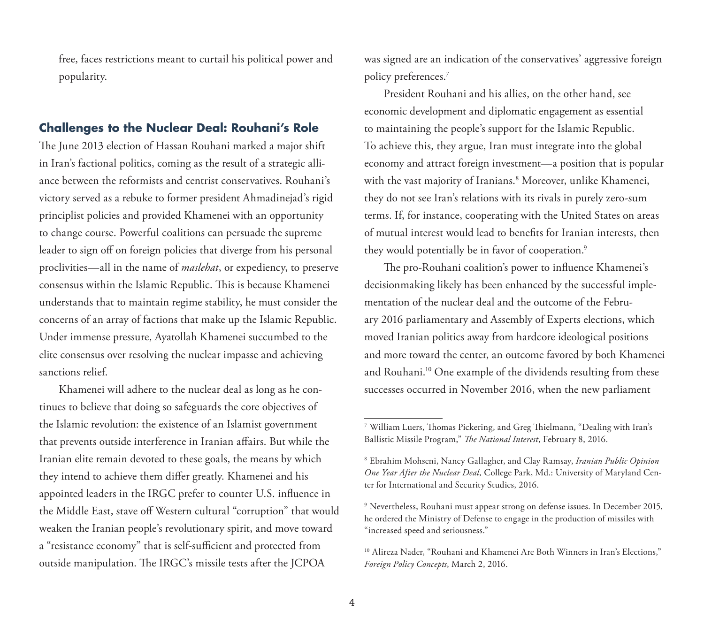free, faces restrictions meant to curtail his political power and popularity.

# **Challenges to the Nuclear Deal: Rouhani's Role**

The June 2013 election of Hassan Rouhani marked a major shift in Iran's factional politics, coming as the result of a strategic alliance between the reformists and centrist conservatives. Rouhani's victory served as a rebuke to former president Ahmadinejad's rigid principlist policies and provided Khamenei with an opportunity to change course. Powerful coalitions can persuade the supreme leader to sign off on foreign policies that diverge from his personal proclivities—all in the name of *maslehat*, or expediency, to preserve consensus within the Islamic Republic. This is because Khamenei understands that to maintain regime stability, he must consider the concerns of an array of factions that make up the Islamic Republic. Under immense pressure, Ayatollah Khamenei succumbed to the elite consensus over resolving the nuclear impasse and achieving sanctions relief.

Khamenei will adhere to the nuclear deal as long as he continues to believe that doing so safeguards the core objectives of the Islamic revolution: the existence of an Islamist government that prevents outside interference in Iranian affairs. But while the Iranian elite remain devoted to these goals, the means by which they intend to achieve them differ greatly. Khamenei and his appointed leaders in the IRGC prefer to counter U.S. influence in the Middle East, stave off Western cultural "corruption" that would weaken the Iranian people's revolutionary spirit, and move toward a "resistance economy" that is self-sufficient and protected from outside manipulation. The IRGC's missile tests after the JCPOA

was signed are an indication of the conservatives' aggressive foreign policy preferences.7

President Rouhani and his allies, on the other hand, see economic development and diplomatic engagement as essential to maintaining the people's support for the Islamic Republic. To achieve this, they argue, Iran must integrate into the global economy and attract foreign investment—a position that is popular with the vast majority of Iranians.8 Moreover, unlike Khamenei, they do not see Iran's relations with its rivals in purely zero-sum terms. If, for instance, cooperating with the United States on areas of mutual interest would lead to benefits for Iranian interests, then they would potentially be in favor of cooperation.<sup>9</sup>

The pro-Rouhani coalition's power to influence Khamenei's decisionmaking likely has been enhanced by the successful implementation of the nuclear deal and the outcome of the February 2016 parliamentary and Assembly of Experts elections, which moved Iranian politics away from hardcore ideological positions and more toward the center, an outcome favored by both Khamenei and Rouhani.<sup>10</sup> One example of the dividends resulting from these successes occurred in November 2016, when the new parliament

<sup>7</sup> William Luers, Thomas Pickering, and Greg Thielmann, "Dealing with Iran's Ballistic Missile Program," *The National Interest*, February 8, 2016.

<sup>8</sup> Ebrahim Mohseni, Nancy Gallagher, and Clay Ramsay, *Iranian Public Opinion One Year After the Nuclear Deal,* College Park, Md.: University of Maryland Center for International and Security Studies, 2016.

<sup>9</sup> Nevertheless, Rouhani must appear strong on defense issues. In December 2015, he ordered the Ministry of Defense to engage in the production of missiles with "increased speed and seriousness."

<sup>&</sup>lt;sup>10</sup> Alireza Nader, "Rouhani and Khamenei Are Both Winners in Iran's Elections," *Foreign Policy Concepts*, March 2, 2016.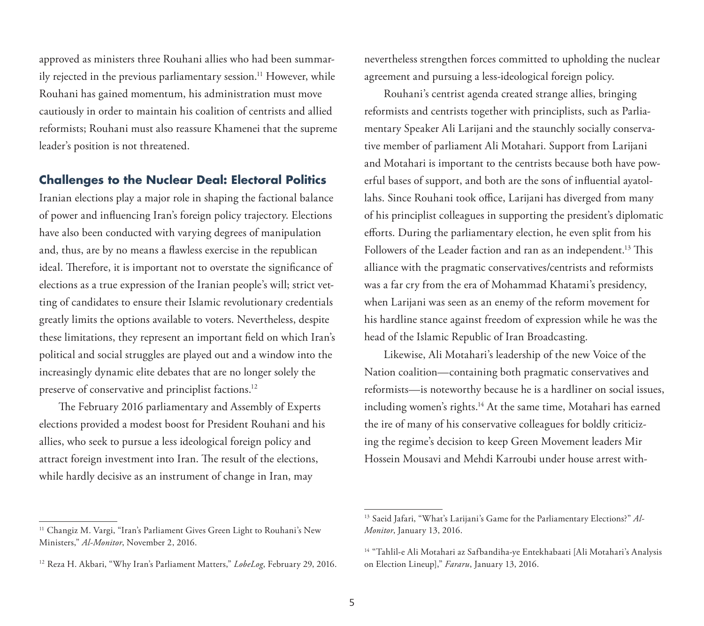approved as ministers three Rouhani allies who had been summarily rejected in the previous parliamentary session.<sup>11</sup> However, while Rouhani has gained momentum, his administration must move cautiously in order to maintain his coalition of centrists and allied reformists; Rouhani must also reassure Khamenei that the supreme leader's position is not threatened.

## **Challenges to the Nuclear Deal: Electoral Politics**

Iranian elections play a major role in shaping the factional balance of power and influencing Iran's foreign policy trajectory. Elections have also been conducted with varying degrees of manipulation and, thus, are by no means a flawless exercise in the republican ideal. Therefore, it is important not to overstate the significance of elections as a true expression of the Iranian people's will; strict vetting of candidates to ensure their Islamic revolutionary credentials greatly limits the options available to voters. Nevertheless, despite these limitations, they represent an important field on which Iran's political and social struggles are played out and a window into the increasingly dynamic elite debates that are no longer solely the preserve of conservative and principlist factions.<sup>12</sup>

The February 2016 parliamentary and Assembly of Experts elections provided a modest boost for President Rouhani and his allies, who seek to pursue a less ideological foreign policy and attract foreign investment into Iran. The result of the elections, while hardly decisive as an instrument of change in Iran, may

nevertheless strengthen forces committed to upholding the nuclear agreement and pursuing a less-ideological foreign policy.

Rouhani's centrist agenda created strange allies, bringing reformists and centrists together with principlists, such as Parliamentary Speaker Ali Larijani and the staunchly socially conservative member of parliament Ali Motahari. Support from Larijani and Motahari is important to the centrists because both have powerful bases of support, and both are the sons of influential ayatollahs. Since Rouhani took office, Larijani has diverged from many of his principlist colleagues in supporting the president's diplomatic efforts. During the parliamentary election, he even split from his Followers of the Leader faction and ran as an independent.<sup>13</sup> This alliance with the pragmatic conservatives/centrists and reformists was a far cry from the era of Mohammad Khatami's presidency, when Larijani was seen as an enemy of the reform movement for his hardline stance against freedom of expression while he was the head of the Islamic Republic of Iran Broadcasting.

Likewise, Ali Motahari's leadership of the new Voice of the Nation coalition—containing both pragmatic conservatives and reformists—is noteworthy because he is a hardliner on social issues, including women's rights.14 At the same time, Motahari has earned the ire of many of his conservative colleagues for boldly criticizing the regime's decision to keep Green Movement leaders Mir Hossein Mousavi and Mehdi Karroubi under house arrest with-

<sup>&</sup>lt;sup>11</sup> Changiz M. Vargi, "Iran's Parliament Gives Green Light to Rouhani's New Ministers," *Al-Monitor*, November 2, 2016.

<sup>12</sup> Reza H. Akbari, "Why Iran's Parliament Matters," *LobeLog*, February 29, 2016.

<sup>13</sup> Saeid Jafari, "What's Larijani's Game for the Parliamentary Elections?" *Al-Monitor*, January 13, 2016.

<sup>14 &</sup>quot;Tahlil-e Ali Motahari az Safbandiha-ye Entekhabaati [Ali Motahari's Analysis on Election Lineup]," *Fararu*, January 13, 2016.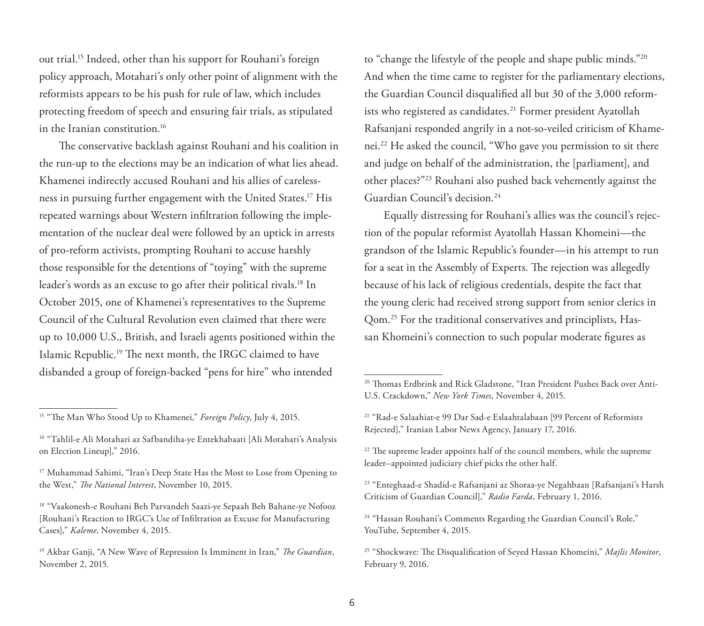out trial.15 Indeed, other than his support for Rouhani's foreign policy approach, Motahari's only other point of alignment with the reformists appears to be his push for rule of law, which includes protecting freedom of speech and ensuring fair trials, as stipulated in the Iranian constitution.16

The conservative backlash against Rouhani and his coalition in the run-up to the elections may be an indication of what lies ahead. Khamenei indirectly accused Rouhani and his allies of carelessness in pursuing further engagement with the United States.17 His repeated warnings about Western infiltration following the implementation of the nuclear deal were followed by an uptick in arrests of pro-reform activists, prompting Rouhani to accuse harshly those responsible for the detentions of "toying" with the supreme leader's words as an excuse to go after their political rivals.18 In October 2015, one of Khamenei's representatives to the Supreme Council of the Cultural Revolution even claimed that there were up to 10,000 U.S., British, and Israeli agents positioned within the Islamic Republic.19 The next month, the IRGC claimed to have disbanded a group of foreign-backed "pens for hire" who intended

to "change the lifestyle of the people and shape public minds."20 And when the time came to register for the parliamentary elections, the Guardian Council disqualified all but 30 of the 3,000 reformists who registered as candidates.<sup>21</sup> Former president Ayatollah Rafsanjani responded angrily in a not-so-veiled criticism of Khamenei.22 He asked the council, "Who gave you permission to sit there and judge on behalf of the administration, the [parliament], and other places?"23 Rouhani also pushed back vehemently against the Guardian Council's decision.24

Equally distressing for Rouhani's allies was the council's rejection of the popular reformist Ayatollah Hassan Khomeini—the grandson of the Islamic Republic's founder—in his attempt to run for a seat in the Assembly of Experts. The rejection was allegedly because of his lack of religious credentials, despite the fact that the young cleric had received strong support from senior clerics in Qom.25 For the traditional conservatives and principlists, Hassan Khomeini's connection to such popular moderate figures as

<sup>15 &</sup>quot;The Man Who Stood Up to Khamenei," *Foreign Policy*, July 4, 2015.

<sup>16 &</sup>quot;Tahlil-e Ali Motahari az Safbandiha-ye Entekhabaati [Ali Motahari's Analysis on Election Lineup]," 2016.

<sup>&</sup>lt;sup>17</sup> Muhammad Sahimi, "Iran's Deep State Has the Most to Lose from Opening to the West," *The National Interest*, November 10, 2015.

<sup>18 &</sup>quot;Vaakonesh-e Rouhani Beh Parvandeh Saazi-ye Sepaah Beh Bahane-ye Nofooz [Rouhani's Reaction to IRGC's Use of Infiltration as Excuse for Manufacturing Cases]," *Kaleme*, November 4, 2015.

<sup>19</sup> Akbar Ganji, "A New Wave of Repression Is Imminent in Iran," *The Guardian*, November 2, 2015.

<sup>20</sup> Thomas Erdbrink and Rick Gladstone, "Iran President Pushes Back over Anti-U.S. Crackdown," *New York Times*, November 4, 2015.

<sup>21 &</sup>quot;Rad-e Salaahiat-e 99 Dar Sad-e Eslaahtalabaan [99 Percent of Reformists Rejected]," Iranian Labor News Agency, January 17, 2016.

<sup>&</sup>lt;sup>22</sup> The supreme leader appoints half of the council members, while the supreme leader–appointed judiciary chief picks the other half.

<sup>23 &</sup>quot;Enteghaad-e Shadid-e Rafsanjani az Shoraa-ye Negahbaan [Rafsanjani's Harsh Criticism of Guardian Council]," *Radio Farda*, February 1, 2016.

<sup>&</sup>lt;sup>24</sup> "Hassan Rouhani's Comments Regarding the Guardian Council's Role," YouTube, September 4, 2015.

<sup>25 &</sup>quot;Shockwave: The Disqualification of Seyed Hassan Khomeini," *Majlis Monitor*, February 9, 2016.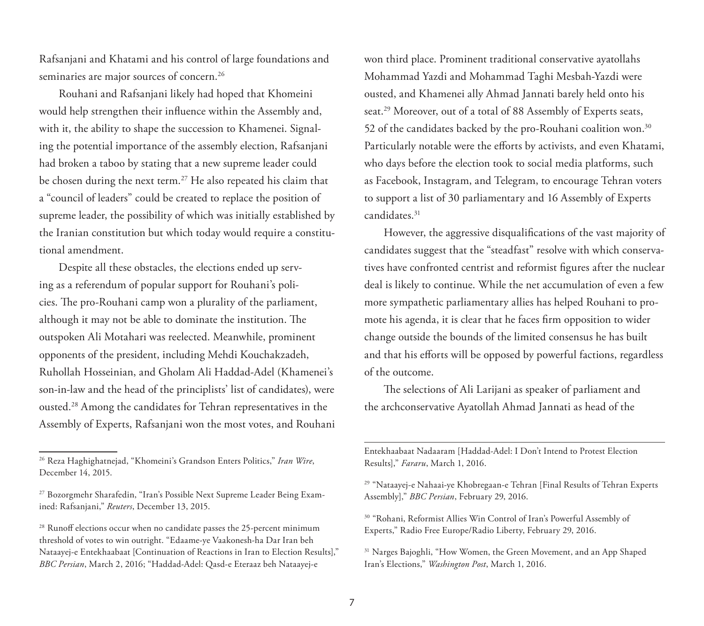Rafsanjani and Khatami and his control of large foundations and seminaries are major sources of concern.<sup>26</sup>

Rouhani and Rafsanjani likely had hoped that Khomeini would help strengthen their influence within the Assembly and, with it, the ability to shape the succession to Khamenei. Signaling the potential importance of the assembly election, Rafsanjani had broken a taboo by stating that a new supreme leader could be chosen during the next term.<sup>27</sup> He also repeated his claim that a "council of leaders" could be created to replace the position of supreme leader, the possibility of which was initially established by the Iranian constitution but which today would require a constitutional amendment.

Despite all these obstacles, the elections ended up serving as a referendum of popular support for Rouhani's policies. The pro-Rouhani camp won a plurality of the parliament, although it may not be able to dominate the institution. The outspoken Ali Motahari was reelected. Meanwhile, prominent opponents of the president, including Mehdi Kouchakzadeh, Ruhollah Hosseinian, and Gholam Ali Haddad-Adel (Khamenei's son-in-law and the head of the principlists' list of candidates), were ousted.28 Among the candidates for Tehran representatives in the Assembly of Experts, Rafsanjani won the most votes, and Rouhani won third place. Prominent traditional conservative ayatollahs Mohammad Yazdi and Mohammad Taghi Mesbah-Yazdi were ousted, and Khamenei ally Ahmad Jannati barely held onto his seat.<sup>29</sup> Moreover, out of a total of 88 Assembly of Experts seats, 52 of the candidates backed by the pro-Rouhani coalition won.<sup>30</sup> Particularly notable were the efforts by activists, and even Khatami, who days before the election took to social media platforms, such as Facebook, Instagram, and Telegram, to encourage Tehran voters to support a list of 30 parliamentary and 16 Assembly of Experts candidates.31

However, the aggressive disqualifications of the vast majority of candidates suggest that the "steadfast" resolve with which conservatives have confronted centrist and reformist figures after the nuclear deal is likely to continue. While the net accumulation of even a few more sympathetic parliamentary allies has helped Rouhani to promote his agenda, it is clear that he faces firm opposition to wider change outside the bounds of the limited consensus he has built and that his efforts will be opposed by powerful factions, regardless of the outcome.

The selections of Ali Larijani as speaker of parliament and the archconservative Ayatollah Ahmad Jannati as head of the

Entekhaabaat Nadaaram [Haddad-Adel: I Don't Intend to Protest Election Results]," *Fararu*, March 1, 2016.

29 "Nataayej-e Nahaai-ye Khobregaan-e Tehran [Final Results of Tehran Experts Assembly]," *BBC Persian*, February 29, 2016.

<sup>26</sup> Reza Haghighatnejad, "Khomeini's Grandson Enters Politics," *Iran Wire*, December 14, 2015.

<sup>&</sup>lt;sup>27</sup> Bozorgmehr Sharafedin, "Iran's Possible Next Supreme Leader Being Examined: Rafsanjani," *Reuters*, December 13, 2015.

<sup>&</sup>lt;sup>28</sup> Runoff elections occur when no candidate passes the 25-percent minimum threshold of votes to win outright. "Edaame-ye Vaakonesh-ha Dar Iran beh Nataayej-e Entekhaabaat [Continuation of Reactions in Iran to Election Results]," *BBC Persian*, March 2, 2016; "Haddad-Adel: Qasd-e Eteraaz beh Nataayej-e

<sup>30 &</sup>quot;Rohani, Reformist Allies Win Control of Iran's Powerful Assembly of Experts," Radio Free Europe/Radio Liberty, February 29, 2016.

<sup>&</sup>lt;sup>31</sup> Narges Bajoghli, "How Women, the Green Movement, and an App Shaped Iran's Elections," *Washington Post*, March 1, 2016.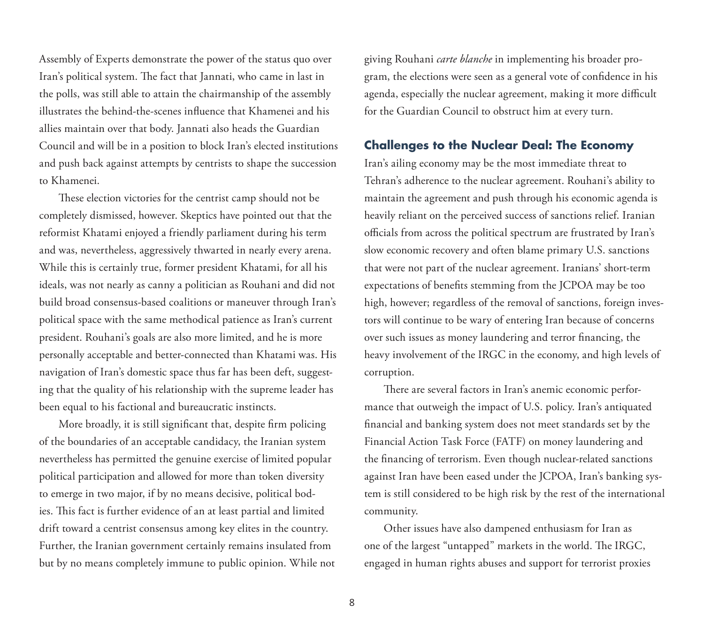Assembly of Experts demonstrate the power of the status quo over Iran's political system. The fact that Jannati, who came in last in the polls, was still able to attain the chairmanship of the assembly illustrates the behind-the-scenes influence that Khamenei and his allies maintain over that body. Jannati also heads the Guardian Council and will be in a position to block Iran's elected institutions and push back against attempts by centrists to shape the succession to Khamenei.

These election victories for the centrist camp should not be completely dismissed, however. Skeptics have pointed out that the reformist Khatami enjoyed a friendly parliament during his term and was, nevertheless, aggressively thwarted in nearly every arena. While this is certainly true, former president Khatami, for all his ideals, was not nearly as canny a politician as Rouhani and did not build broad consensus-based coalitions or maneuver through Iran's political space with the same methodical patience as Iran's current president. Rouhani's goals are also more limited, and he is more personally acceptable and better-connected than Khatami was. His navigation of Iran's domestic space thus far has been deft, suggesting that the quality of his relationship with the supreme leader has been equal to his factional and bureaucratic instincts.

More broadly, it is still significant that, despite firm policing of the boundaries of an acceptable candidacy, the Iranian system nevertheless has permitted the genuine exercise of limited popular political participation and allowed for more than token diversity to emerge in two major, if by no means decisive, political bodies. This fact is further evidence of an at least partial and limited drift toward a centrist consensus among key elites in the country. Further, the Iranian government certainly remains insulated from but by no means completely immune to public opinion. While not giving Rouhani *carte blanche* in implementing his broader program, the elections were seen as a general vote of confidence in his agenda, especially the nuclear agreement, making it more difficult for the Guardian Council to obstruct him at every turn.

## **Challenges to the Nuclear Deal: The Economy**

Iran's ailing economy may be the most immediate threat to Tehran's adherence to the nuclear agreement. Rouhani's ability to maintain the agreement and push through his economic agenda is heavily reliant on the perceived success of sanctions relief. Iranian officials from across the political spectrum are frustrated by Iran's slow economic recovery and often blame primary U.S. sanctions that were not part of the nuclear agreement. Iranians' short-term expectations of benefits stemming from the JCPOA may be too high, however; regardless of the removal of sanctions, foreign investors will continue to be wary of entering Iran because of concerns over such issues as money laundering and terror financing, the heavy involvement of the IRGC in the economy, and high levels of corruption.

There are several factors in Iran's anemic economic performance that outweigh the impact of U.S. policy. Iran's antiquated financial and banking system does not meet standards set by the Financial Action Task Force (FATF) on money laundering and the financing of terrorism. Even though nuclear-related sanctions against Iran have been eased under the JCPOA, Iran's banking system is still considered to be high risk by the rest of the international community.

Other issues have also dampened enthusiasm for Iran as one of the largest "untapped" markets in the world. The IRGC, engaged in human rights abuses and support for terrorist proxies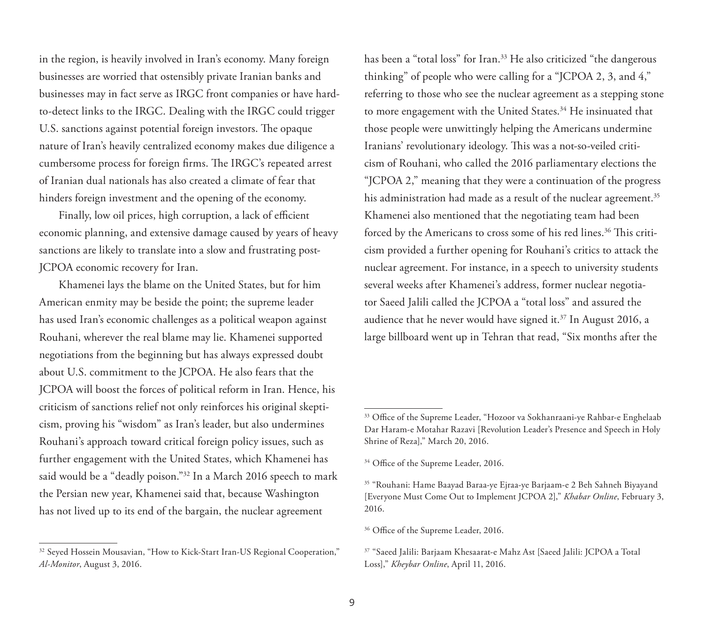in the region, is heavily involved in Iran's economy. Many foreign businesses are worried that ostensibly private Iranian banks and businesses may in fact serve as IRGC front companies or have hardto-detect links to the IRGC. Dealing with the IRGC could trigger U.S. sanctions against potential foreign investors. The opaque nature of Iran's heavily centralized economy makes due diligence a cumbersome process for foreign firms. The IRGC's repeated arrest of Iranian dual nationals has also created a climate of fear that hinders foreign investment and the opening of the economy.

Finally, low oil prices, high corruption, a lack of efficient economic planning, and extensive damage caused by years of heavy sanctions are likely to translate into a slow and frustrating post-JCPOA economic recovery for Iran.

Khamenei lays the blame on the United States, but for him American enmity may be beside the point; the supreme leader has used Iran's economic challenges as a political weapon against Rouhani, wherever the real blame may lie. Khamenei supported negotiations from the beginning but has always expressed doubt about U.S. commitment to the JCPOA. He also fears that the JCPOA will boost the forces of political reform in Iran. Hence, his criticism of sanctions relief not only reinforces his original skepticism, proving his "wisdom" as Iran's leader, but also undermines Rouhani's approach toward critical foreign policy issues, such as further engagement with the United States, which Khamenei has said would be a "deadly poison."32 In a March 2016 speech to mark the Persian new year, Khamenei said that, because Washington has not lived up to its end of the bargain, the nuclear agreement

has been a "total loss" for Iran.<sup>33</sup> He also criticized "the dangerous thinking" of people who were calling for a "JCPOA 2, 3, and 4," referring to those who see the nuclear agreement as a stepping stone to more engagement with the United States.<sup>34</sup> He insinuated that those people were unwittingly helping the Americans undermine Iranians' revolutionary ideology. This was a not-so-veiled criticism of Rouhani, who called the 2016 parliamentary elections the "JCPOA 2," meaning that they were a continuation of the progress his administration had made as a result of the nuclear agreement.<sup>35</sup> Khamenei also mentioned that the negotiating team had been forced by the Americans to cross some of his red lines.<sup>36</sup> This criticism provided a further opening for Rouhani's critics to attack the nuclear agreement. For instance, in a speech to university students several weeks after Khamenei's address, former nuclear negotiator Saeed Jalili called the JCPOA a "total loss" and assured the audience that he never would have signed it.<sup>37</sup> In August 2016, a large billboard went up in Tehran that read, "Six months after the

<sup>&</sup>lt;sup>32</sup> Seyed Hossein Mousavian, "How to Kick-Start Iran-US Regional Cooperation," *Al-Monitor*, August 3, 2016.

<sup>33</sup> Office of the Supreme Leader, "Hozoor va Sokhanraani-ye Rahbar-e Enghelaab Dar Haram-e Motahar Razavi [Revolution Leader's Presence and Speech in Holy Shrine of Reza]," March 20, 2016.

<sup>&</sup>lt;sup>34</sup> Office of the Supreme Leader, 2016.

<sup>35 &</sup>quot;Rouhani: Hame Baayad Baraa-ye Ejraa-ye Barjaam-e 2 Beh Sahneh Biyayand [Everyone Must Come Out to Implement JCPOA 2]," *Khabar Online*, February 3, 2016.

<sup>&</sup>lt;sup>36</sup> Office of the Supreme Leader, 2016.

<sup>37 &</sup>quot;Saeed Jalili: Barjaam Khesaarat-e Mahz Ast [Saeed Jalili: JCPOA a Total Loss]," *Kheybar Online*, April 11, 2016.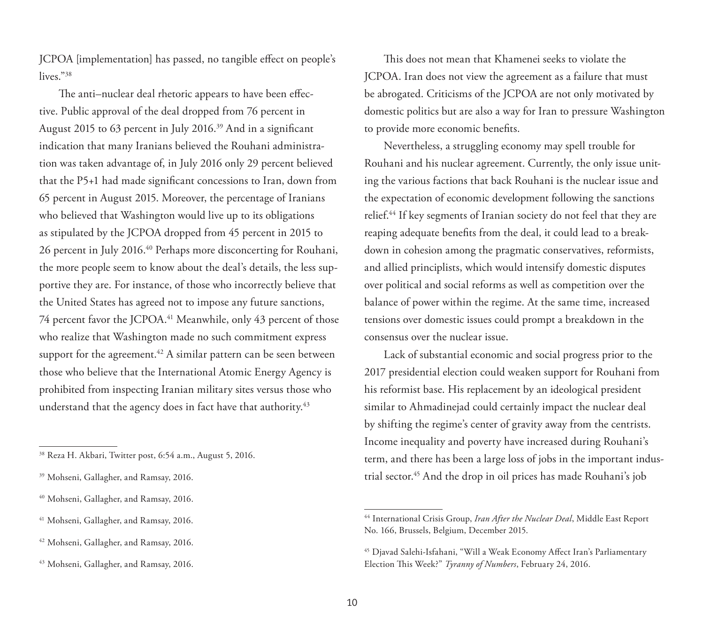JCPOA [implementation] has passed, no tangible effect on people's lives."<sup>38</sup>

The anti–nuclear deal rhetoric appears to have been effective. Public approval of the deal dropped from 76 percent in August 2015 to 63 percent in July 2016.39 And in a significant indication that many Iranians believed the Rouhani administration was taken advantage of, in July 2016 only 29 percent believed that the P5+1 had made significant concessions to Iran, down from 65 percent in August 2015. Moreover, the percentage of Iranians who believed that Washington would live up to its obligations as stipulated by the JCPOA dropped from 45 percent in 2015 to 26 percent in July 2016.40 Perhaps more disconcerting for Rouhani, the more people seem to know about the deal's details, the less supportive they are. For instance, of those who incorrectly believe that the United States has agreed not to impose any future sanctions, 74 percent favor the JCPOA.<sup>41</sup> Meanwhile, only 43 percent of those who realize that Washington made no such commitment express support for the agreement.<sup>42</sup> A similar pattern can be seen between those who believe that the International Atomic Energy Agency is prohibited from inspecting Iranian military sites versus those who understand that the agency does in fact have that authority.<sup>43</sup>

This does not mean that Khamenei seeks to violate the JCPOA. Iran does not view the agreement as a failure that must be abrogated. Criticisms of the JCPOA are not only motivated by domestic politics but are also a way for Iran to pressure Washington to provide more economic benefits.

Nevertheless, a struggling economy may spell trouble for Rouhani and his nuclear agreement. Currently, the only issue uniting the various factions that back Rouhani is the nuclear issue and the expectation of economic development following the sanctions relief.<sup>44</sup> If key segments of Iranian society do not feel that they are reaping adequate benefits from the deal, it could lead to a breakdown in cohesion among the pragmatic conservatives, reformists, and allied principlists, which would intensify domestic disputes over political and social reforms as well as competition over the balance of power within the regime. At the same time, increased tensions over domestic issues could prompt a breakdown in the consensus over the nuclear issue.

Lack of substantial economic and social progress prior to the 2017 presidential election could weaken support for Rouhani from his reformist base. His replacement by an ideological president similar to Ahmadinejad could certainly impact the nuclear deal by shifting the regime's center of gravity away from the centrists. Income inequality and poverty have increased during Rouhani's term, and there has been a large loss of jobs in the important industrial sector.45 And the drop in oil prices has made Rouhani's job

<sup>38</sup> Reza H. Akbari, Twitter post, 6:54 a.m., August 5, 2016.

<sup>39</sup> Mohseni, Gallagher, and Ramsay, 2016.

<sup>40</sup> Mohseni, Gallagher, and Ramsay, 2016.

<sup>41</sup> Mohseni, Gallagher, and Ramsay, 2016.

<sup>42</sup> Mohseni, Gallagher, and Ramsay, 2016.

<sup>43</sup> Mohseni, Gallagher, and Ramsay, 2016.

<sup>44</sup> International Crisis Group, *Iran After the Nuclear Deal*, Middle East Report No. 166, Brussels, Belgium, December 2015.

<sup>45</sup> Djavad Salehi-Isfahani, "Will a Weak Economy Affect Iran's Parliamentary Election This Week?" *Tyranny of Numbers*, February 24, 2016.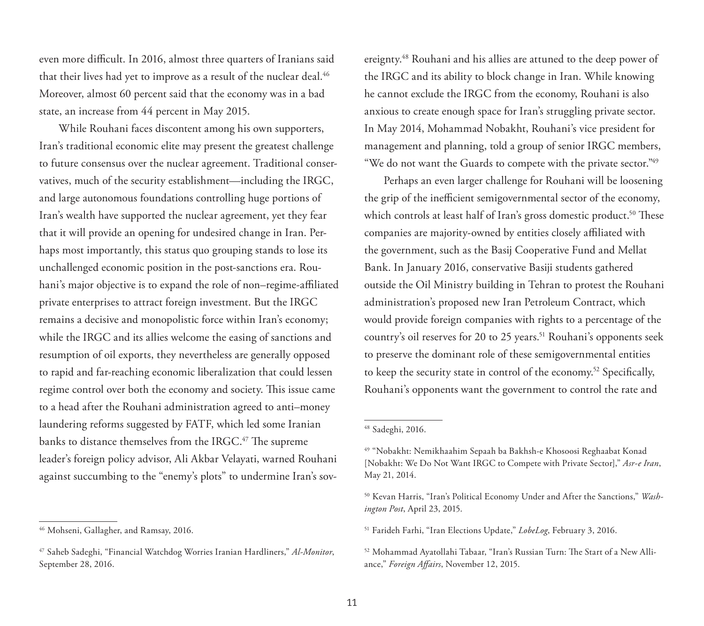even more difficult. In 2016, almost three quarters of Iranians said that their lives had yet to improve as a result of the nuclear deal.<sup>46</sup> Moreover, almost 60 percent said that the economy was in a bad state, an increase from 44 percent in May 2015.

While Rouhani faces discontent among his own supporters, Iran's traditional economic elite may present the greatest challenge to future consensus over the nuclear agreement. Traditional conservatives, much of the security establishment—including the IRGC, and large autonomous foundations controlling huge portions of Iran's wealth have supported the nuclear agreement, yet they fear that it will provide an opening for undesired change in Iran. Perhaps most importantly, this status quo grouping stands to lose its unchallenged economic position in the post-sanctions era. Rouhani's major objective is to expand the role of non–regime-affiliated private enterprises to attract foreign investment. But the IRGC remains a decisive and monopolistic force within Iran's economy; while the IRGC and its allies welcome the easing of sanctions and resumption of oil exports, they nevertheless are generally opposed to rapid and far-reaching economic liberalization that could lessen regime control over both the economy and society. This issue came to a head after the Rouhani administration agreed to anti–money laundering reforms suggested by FATF, which led some Iranian banks to distance themselves from the IRGC.<sup>47</sup> The supreme leader's foreign policy advisor, Ali Akbar Velayati, warned Rouhani against succumbing to the "enemy's plots" to undermine Iran's sovereignty.48 Rouhani and his allies are attuned to the deep power of the IRGC and its ability to block change in Iran. While knowing he cannot exclude the IRGC from the economy, Rouhani is also anxious to create enough space for Iran's struggling private sector. In May 2014, Mohammad Nobakht, Rouhani's vice president for management and planning, told a group of senior IRGC members, "We do not want the Guards to compete with the private sector."49

Perhaps an even larger challenge for Rouhani will be loosening the grip of the inefficient semigovernmental sector of the economy, which controls at least half of Iran's gross domestic product.<sup>50</sup> These companies are majority-owned by entities closely affiliated with the government, such as the Basij Cooperative Fund and Mellat Bank. In January 2016, conservative Basiji students gathered outside the Oil Ministry building in Tehran to protest the Rouhani administration's proposed new Iran Petroleum Contract, which would provide foreign companies with rights to a percentage of the country's oil reserves for 20 to 25 years.<sup>51</sup> Rouhani's opponents seek to preserve the dominant role of these semigovernmental entities to keep the security state in control of the economy.52 Specifically, Rouhani's opponents want the government to control the rate and

<sup>46</sup> Mohseni, Gallagher, and Ramsay, 2016.

<sup>47</sup> Saheb Sadeghi, "Financial Watchdog Worries Iranian Hardliners," *Al-Monitor*, September 28, 2016.

<sup>48</sup> Sadeghi, 2016.

<sup>49 &</sup>quot;Nobakht: Nemikhaahim Sepaah ba Bakhsh-e Khosoosi Reghaabat Konad [Nobakht: We Do Not Want IRGC to Compete with Private Sector]," *Asr-e Iran*, May 21, 2014.

<sup>50</sup> Kevan Harris, "Iran's Political Economy Under and After the Sanctions," *Washington Post*, April 23, 2015.

<sup>51</sup> Farideh Farhi, "Iran Elections Update," *LobeLog*, February 3, 2016.

<sup>52</sup> Mohammad Ayatollahi Tabaar, "Iran's Russian Turn: The Start of a New Alliance," *Foreign Affairs*, November 12, 2015.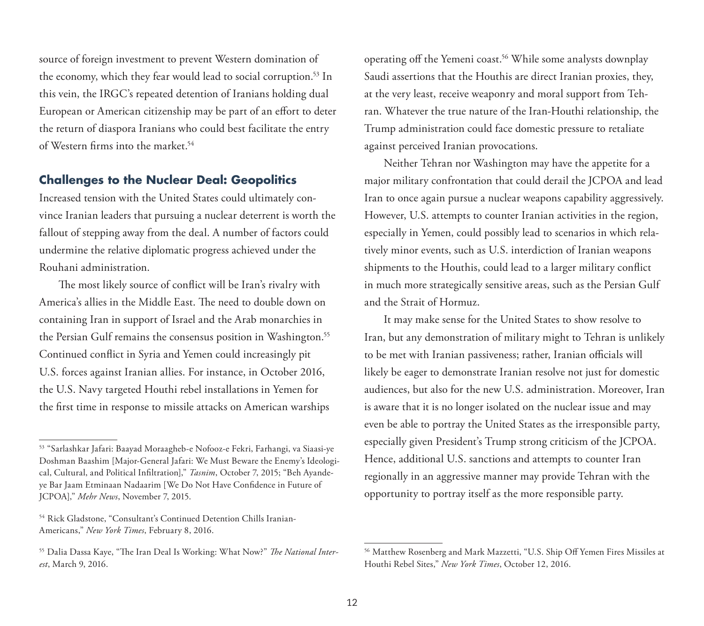source of foreign investment to prevent Western domination of the economy, which they fear would lead to social corruption.<sup>53</sup> In this vein, the IRGC's repeated detention of Iranians holding dual European or American citizenship may be part of an effort to deter the return of diaspora Iranians who could best facilitate the entry of Western firms into the market.54

## **Challenges to the Nuclear Deal: Geopolitics**

Increased tension with the United States could ultimately convince Iranian leaders that pursuing a nuclear deterrent is worth the fallout of stepping away from the deal. A number of factors could undermine the relative diplomatic progress achieved under the Rouhani administration.

The most likely source of conflict will be Iran's rivalry with America's allies in the Middle East. The need to double down on containing Iran in support of Israel and the Arab monarchies in the Persian Gulf remains the consensus position in Washington.<sup>55</sup> Continued conflict in Syria and Yemen could increasingly pit U.S. forces against Iranian allies. For instance, in October 2016, the U.S. Navy targeted Houthi rebel installations in Yemen for the first time in response to missile attacks on American warships operating off the Yemeni coast.<sup>56</sup> While some analysts downplay Saudi assertions that the Houthis are direct Iranian proxies, they, at the very least, receive weaponry and moral support from Tehran. Whatever the true nature of the Iran-Houthi relationship, the Trump administration could face domestic pressure to retaliate against perceived Iranian provocations.

Neither Tehran nor Washington may have the appetite for a major military confrontation that could derail the JCPOA and lead Iran to once again pursue a nuclear weapons capability aggressively. However, U.S. attempts to counter Iranian activities in the region, especially in Yemen, could possibly lead to scenarios in which relatively minor events, such as U.S. interdiction of Iranian weapons shipments to the Houthis, could lead to a larger military conflict in much more strategically sensitive areas, such as the Persian Gulf and the Strait of Hormuz.

It may make sense for the United States to show resolve to Iran, but any demonstration of military might to Tehran is unlikely to be met with Iranian passiveness; rather, Iranian officials will likely be eager to demonstrate Iranian resolve not just for domestic audiences, but also for the new U.S. administration. Moreover, Iran is aware that it is no longer isolated on the nuclear issue and may even be able to portray the United States as the irresponsible party, especially given President's Trump strong criticism of the JCPOA. Hence, additional U.S. sanctions and attempts to counter Iran regionally in an aggressive manner may provide Tehran with the opportunity to portray itself as the more responsible party.

<sup>53 &</sup>quot;Sarlashkar Jafari: Baayad Moraagheb-e Nofooz-e Fekri, Farhangi, va Siaasi-ye Doshman Baashim [Major-General Jafari: We Must Beware the Enemy's Ideological, Cultural, and Political Infiltration]," *Tasnim*, October 7, 2015; "Beh Ayandeye Bar Jaam Etminaan Nadaarim [We Do Not Have Confidence in Future of JCPOA]," *Mehr News*, November 7, 2015.

<sup>54</sup> Rick Gladstone, "Consultant's Continued Detention Chills Iranian-Americans," *New York Times*, February 8, 2016.

<sup>55</sup> Dalia Dassa Kaye, "The Iran Deal Is Working: What Now?" *The National Interest*, March 9, 2016.

<sup>56</sup> Matthew Rosenberg and Mark Mazzetti, "U.S. Ship Off Yemen Fires Missiles at Houthi Rebel Sites," *New York Times*, October 12, 2016.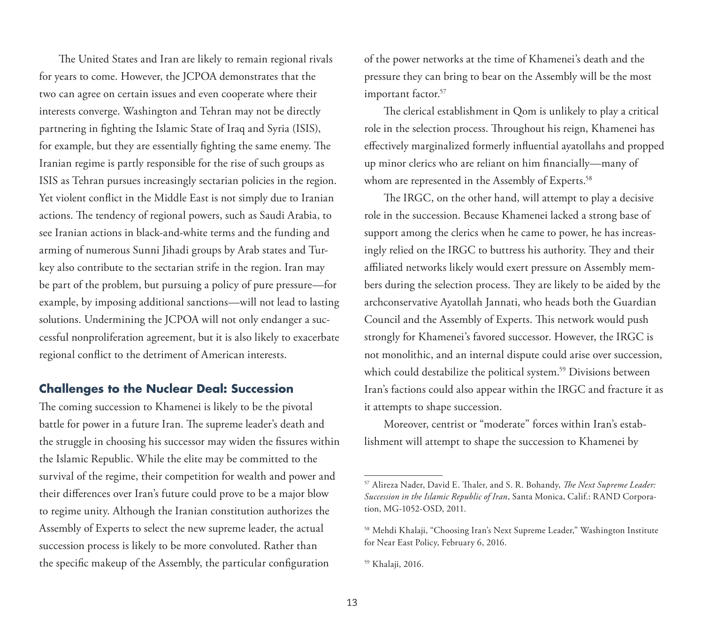The United States and Iran are likely to remain regional rivals for years to come. However, the JCPOA demonstrates that the two can agree on certain issues and even cooperate where their interests converge. Washington and Tehran may not be directly partnering in fighting the Islamic State of Iraq and Syria (ISIS), for example, but they are essentially fighting the same enemy. The Iranian regime is partly responsible for the rise of such groups as ISIS as Tehran pursues increasingly sectarian policies in the region. Yet violent conflict in the Middle East is not simply due to Iranian actions. The tendency of regional powers, such as Saudi Arabia, to see Iranian actions in black-and-white terms and the funding and arming of numerous Sunni Jihadi groups by Arab states and Turkey also contribute to the sectarian strife in the region. Iran may be part of the problem, but pursuing a policy of pure pressure—for example, by imposing additional sanctions—will not lead to lasting solutions. Undermining the JCPOA will not only endanger a successful nonproliferation agreement, but it is also likely to exacerbate regional conflict to the detriment of American interests.

## **Challenges to the Nuclear Deal: Succession**

The coming succession to Khamenei is likely to be the pivotal battle for power in a future Iran. The supreme leader's death and the struggle in choosing his successor may widen the fissures within the Islamic Republic. While the elite may be committed to the survival of the regime, their competition for wealth and power and their differences over Iran's future could prove to be a major blow to regime unity. Although the Iranian constitution authorizes the Assembly of Experts to select the new supreme leader, the actual succession process is likely to be more convoluted. Rather than the specific makeup of the Assembly, the particular configuration

of the power networks at the time of Khamenei's death and the pressure they can bring to bear on the Assembly will be the most important factor.<sup>57</sup>

The clerical establishment in Qom is unlikely to play a critical role in the selection process. Throughout his reign, Khamenei has effectively marginalized formerly influential ayatollahs and propped up minor clerics who are reliant on him financially—many of whom are represented in the Assembly of Experts.<sup>58</sup>

The IRGC, on the other hand, will attempt to play a decisive role in the succession. Because Khamenei lacked a strong base of support among the clerics when he came to power, he has increasingly relied on the IRGC to buttress his authority. They and their affiliated networks likely would exert pressure on Assembly members during the selection process. They are likely to be aided by the archconservative Ayatollah Jannati, who heads both the Guardian Council and the Assembly of Experts. This network would push strongly for Khamenei's favored successor. However, the IRGC is not monolithic, and an internal dispute could arise over succession, which could destabilize the political system.<sup>59</sup> Divisions between Iran's factions could also appear within the IRGC and fracture it as it attempts to shape succession.

Moreover, centrist or "moderate" forces within Iran's establishment will attempt to shape the succession to Khamenei by

<sup>57</sup> Alireza Nader, David E. Thaler, and S. R. Bohandy, *The Next Supreme Leader: Succession in the Islamic Republic of Iran*, Santa Monica, Calif.: RAND Corporation, MG-1052-OSD, 2011.

<sup>58</sup> Mehdi Khalaji, "Choosing Iran's Next Supreme Leader," Washington Institute for Near East Policy, February 6, 2016.

<sup>59</sup> Khalaji, 2016.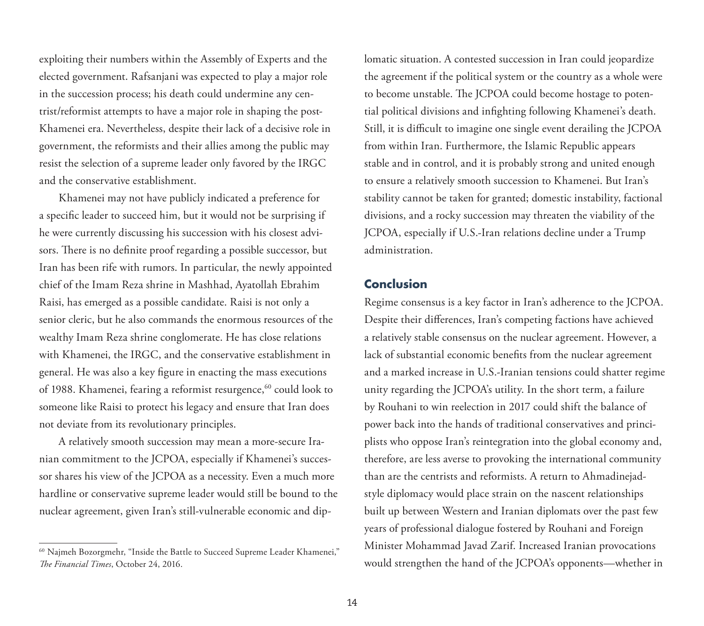exploiting their numbers within the Assembly of Experts and the elected government. Rafsanjani was expected to play a major role in the succession process; his death could undermine any centrist/reformist attempts to have a major role in shaping the post-Khamenei era. Nevertheless, despite their lack of a decisive role in government, the reformists and their allies among the public may resist the selection of a supreme leader only favored by the IRGC and the conservative establishment.

Khamenei may not have publicly indicated a preference for a specific leader to succeed him, but it would not be surprising if he were currently discussing his succession with his closest advisors. There is no definite proof regarding a possible successor, but Iran has been rife with rumors. In particular, the newly appointed chief of the Imam Reza shrine in Mashhad, Ayatollah Ebrahim Raisi, has emerged as a possible candidate. Raisi is not only a senior cleric, but he also commands the enormous resources of the wealthy Imam Reza shrine conglomerate. He has close relations with Khamenei, the IRGC, and the conservative establishment in general. He was also a key figure in enacting the mass executions of 1988. Khamenei, fearing a reformist resurgence,<sup>60</sup> could look to someone like Raisi to protect his legacy and ensure that Iran does not deviate from its revolutionary principles.

A relatively smooth succession may mean a more-secure Iranian commitment to the JCPOA, especially if Khamenei's successor shares his view of the JCPOA as a necessity. Even a much more hardline or conservative supreme leader would still be bound to the nuclear agreement, given Iran's still-vulnerable economic and diplomatic situation. A contested succession in Iran could jeopardize the agreement if the political system or the country as a whole were to become unstable. The JCPOA could become hostage to potential political divisions and infighting following Khamenei's death. Still, it is difficult to imagine one single event derailing the JCPOA from within Iran. Furthermore, the Islamic Republic appears stable and in control, and it is probably strong and united enough to ensure a relatively smooth succession to Khamenei. But Iran's stability cannot be taken for granted; domestic instability, factional divisions, and a rocky succession may threaten the viability of the JCPOA, especially if U.S.-Iran relations decline under a Trump administration.

#### **Conclusion**

Regime consensus is a key factor in Iran's adherence to the JCPOA. Despite their differences, Iran's competing factions have achieved a relatively stable consensus on the nuclear agreement. However, a lack of substantial economic benefits from the nuclear agreement and a marked increase in U.S.-Iranian tensions could shatter regime unity regarding the JCPOA's utility. In the short term, a failure by Rouhani to win reelection in 2017 could shift the balance of power back into the hands of traditional conservatives and principlists who oppose Iran's reintegration into the global economy and, therefore, are less averse to provoking the international community than are the centrists and reformists. A return to Ahmadinejadstyle diplomacy would place strain on the nascent relationships built up between Western and Iranian diplomats over the past few years of professional dialogue fostered by Rouhani and Foreign Minister Mohammad Javad Zarif. Increased Iranian provocations would strengthen the hand of the JCPOA's opponents—whether in

<sup>60</sup> Najmeh Bozorgmehr, "Inside the Battle to Succeed Supreme Leader Khamenei," *The Financial Times*, October 24, 2016.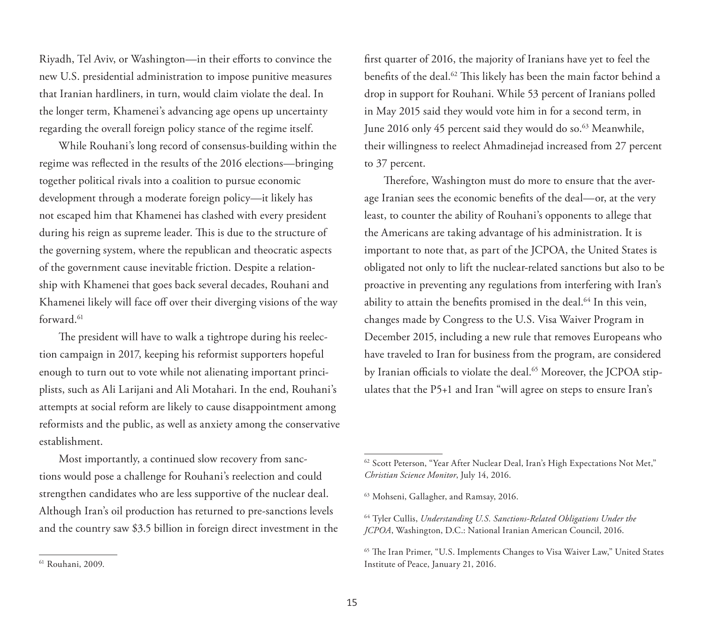Riyadh, Tel Aviv, or Washington—in their efforts to convince the new U.S. presidential administration to impose punitive measures that Iranian hardliners, in turn, would claim violate the deal. In the longer term, Khamenei's advancing age opens up uncertainty regarding the overall foreign policy stance of the regime itself.

While Rouhani's long record of consensus-building within the regime was reflected in the results of the 2016 elections—bringing together political rivals into a coalition to pursue economic development through a moderate foreign policy—it likely has not escaped him that Khamenei has clashed with every president during his reign as supreme leader. This is due to the structure of the governing system, where the republican and theocratic aspects of the government cause inevitable friction. Despite a relationship with Khamenei that goes back several decades, Rouhani and Khamenei likely will face off over their diverging visions of the way forward.<sup>61</sup>

The president will have to walk a tightrope during his reelection campaign in 2017, keeping his reformist supporters hopeful enough to turn out to vote while not alienating important principlists, such as Ali Larijani and Ali Motahari. In the end, Rouhani's attempts at social reform are likely to cause disappointment among reformists and the public, as well as anxiety among the conservative establishment.

Most importantly, a continued slow recovery from sanctions would pose a challenge for Rouhani's reelection and could strengthen candidates who are less supportive of the nuclear deal. Although Iran's oil production has returned to pre-sanctions levels and the country saw \$3.5 billion in foreign direct investment in the

first quarter of 2016, the majority of Iranians have yet to feel the benefits of the deal.<sup>62</sup> This likely has been the main factor behind a drop in support for Rouhani. While 53 percent of Iranians polled in May 2015 said they would vote him in for a second term, in June 2016 only 45 percent said they would do so.<sup>63</sup> Meanwhile, their willingness to reelect Ahmadinejad increased from 27 percent to 37 percent.

Therefore, Washington must do more to ensure that the average Iranian sees the economic benefits of the deal—or, at the very least, to counter the ability of Rouhani's opponents to allege that the Americans are taking advantage of his administration. It is important to note that, as part of the JCPOA, the United States is obligated not only to lift the nuclear-related sanctions but also to be proactive in preventing any regulations from interfering with Iran's ability to attain the benefits promised in the deal.<sup>64</sup> In this vein, changes made by Congress to the U.S. Visa Waiver Program in December 2015, including a new rule that removes Europeans who have traveled to Iran for business from the program, are considered by Iranian officials to violate the deal.<sup>65</sup> Moreover, the JCPOA stipulates that the P5+1 and Iran "will agree on steps to ensure Iran's

<sup>&</sup>lt;sup>62</sup> Scott Peterson, "Year After Nuclear Deal, Iran's High Expectations Not Met," *Christian Science Monitor*, July 14, 2016.

<sup>63</sup> Mohseni, Gallagher, and Ramsay, 2016.

<sup>64</sup> Tyler Cullis, *Understanding U.S. Sanctions-Related Obligations Under the JCPOA*, Washington, D.C.: National Iranian American Council, 2016.

<sup>65</sup> The Iran Primer, "U.S. Implements Changes to Visa Waiver Law," United States Institute of Peace, January 21, 2016.

<sup>61</sup> Rouhani, 2009.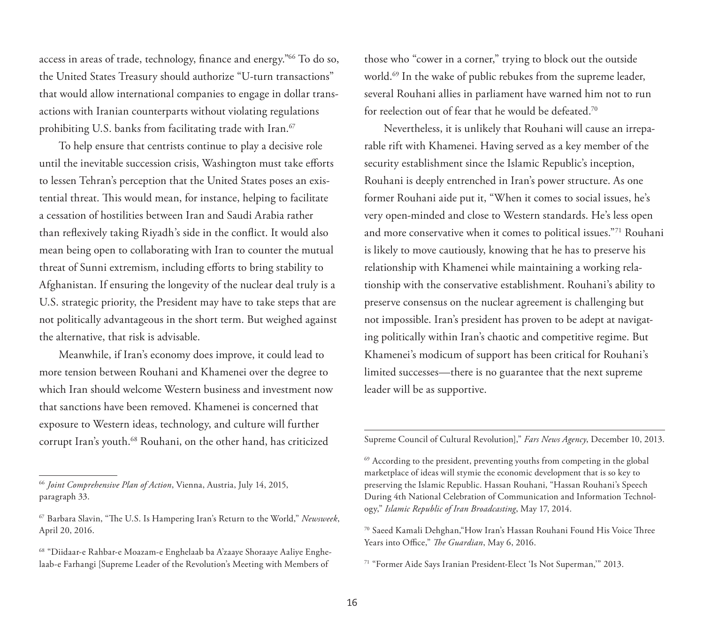access in areas of trade, technology, finance and energy."66 To do so, the United States Treasury should authorize "U-turn transactions" that would allow international companies to engage in dollar transactions with Iranian counterparts without violating regulations prohibiting U.S. banks from facilitating trade with Iran.<sup>67</sup>

To help ensure that centrists continue to play a decisive role until the inevitable succession crisis, Washington must take efforts to lessen Tehran's perception that the United States poses an existential threat. This would mean, for instance, helping to facilitate a cessation of hostilities between Iran and Saudi Arabia rather than reflexively taking Riyadh's side in the conflict. It would also mean being open to collaborating with Iran to counter the mutual threat of Sunni extremism, including efforts to bring stability to Afghanistan. If ensuring the longevity of the nuclear deal truly is a U.S. strategic priority, the President may have to take steps that are not politically advantageous in the short term. But weighed against the alternative, that risk is advisable.

Meanwhile, if Iran's economy does improve, it could lead to more tension between Rouhani and Khamenei over the degree to which Iran should welcome Western business and investment now that sanctions have been removed. Khamenei is concerned that exposure to Western ideas, technology, and culture will further corrupt Iran's youth.68 Rouhani, on the other hand, has criticized

<sup>66</sup>*Joint Comprehensive Plan of Action*, Vienna, Austria, July 14, 2015, paragraph 33.

those who "cower in a corner," trying to block out the outside world.<sup>69</sup> In the wake of public rebukes from the supreme leader, several Rouhani allies in parliament have warned him not to run for reelection out of fear that he would be defeated.70

Nevertheless, it is unlikely that Rouhani will cause an irreparable rift with Khamenei. Having served as a key member of the security establishment since the Islamic Republic's inception, Rouhani is deeply entrenched in Iran's power structure. As one former Rouhani aide put it, "When it comes to social issues, he's very open-minded and close to Western standards. He's less open and more conservative when it comes to political issues."71 Rouhani is likely to move cautiously, knowing that he has to preserve his relationship with Khamenei while maintaining a working relationship with the conservative establishment. Rouhani's ability to preserve consensus on the nuclear agreement is challenging but not impossible. Iran's president has proven to be adept at navigating politically within Iran's chaotic and competitive regime. But Khamenei's modicum of support has been critical for Rouhani's limited successes—there is no guarantee that the next supreme leader will be as supportive.

Supreme Council of Cultural Revolution]," *Fars News Agency*, December 10, 2013.

<sup>67</sup> Barbara Slavin, "The U.S. Is Hampering Iran's Return to the World," *Newsweek*, April 20, 2016.

<sup>68 &</sup>quot;Diidaar-e Rahbar-e Moazam-e Enghelaab ba A'zaaye Shoraaye Aaliye Enghelaab-e Farhangi [Supreme Leader of the Revolution's Meeting with Members of

 $69$  According to the president, preventing youths from competing in the global marketplace of ideas will stymie the economic development that is so key to preserving the Islamic Republic. Hassan Rouhani, "Hassan Rouhani's Speech During 4th National Celebration of Communication and Information Technology," *Islamic Republic of Iran Broadcasting*, May 17, 2014.

<sup>70</sup> Saeed Kamali Dehghan,"How Iran's Hassan Rouhani Found His Voice Three Years into Office," *The Guardian*, May 6, 2016.

<sup>71 &</sup>quot;Former Aide Says Iranian President-Elect 'Is Not Superman,'" 2013.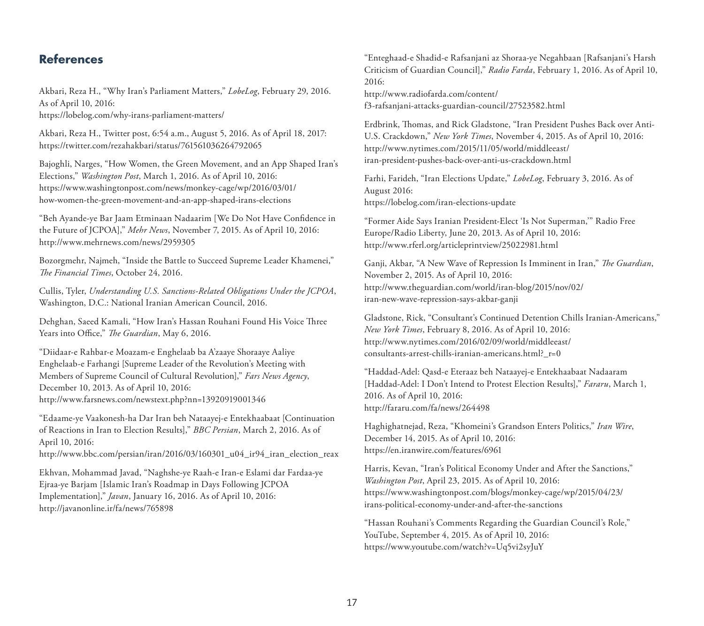## **References**

Akbari, Reza H., "Why Iran's Parliament Matters," *LobeLog*, February 29, 2016. As of April 10, 2016: <https://lobelog.com/why-irans-parliament-matters/>

Akbari, Reza H., Twitter post, 6:54 a.m., August 5, 2016. As of April 18, 2017: <https://twitter.com/rezahakbari/status/761561036264792065>

Bajoghli, Narges, "How Women, the Green Movement, and an App Shaped Iran's Elections," *Washington Post*, March 1, 2016. As of April 10, 2016: [https://www.washingtonpost.com/news/monkey-cage/wp/2016/03/01/](https://www.washingtonpost.com/news/monkey-cage/wp/2016/03/01/how-women-the-green-movement-and-an-app-shaped-irans-elections) how-women-the-green-movement-and-an-app-shaped-irans-elections

"Beh Ayande-ye Bar Jaam Etminaan Nadaarim [We Do Not Have Confidence in the Future of JCPOA]," *Mehr News*, November 7, 2015. As of April 10, 2016: <http://www.mehrnews.com/news/2959305>

Bozorgmehr, Najmeh, "Inside the Battle to Succeed Supreme Leader Khamenei," *The Financial Times*, October 24, 2016.

Cullis, Tyler, *Understanding U.S. Sanctions-Related Obligations Under the JCPOA*, Washington, D.C.: National Iranian American Council, 2016.

Dehghan, Saeed Kamali, "How Iran's Hassan Rouhani Found His Voice Three Years into Office," *The Guardian*, May 6, 2016.

"Diidaar-e Rahbar-e Moazam-e Enghelaab ba A'zaaye Shoraaye Aaliye Enghelaab-e Farhangi [Supreme Leader of the Revolution's Meeting with Members of Supreme Council of Cultural Revolution]," *Fars News Agency*, December 10, 2013. As of April 10, 2016: <http://www.farsnews.com/newstext.php?nn=13920919001346>

"Edaame-ye Vaakonesh-ha Dar Iran beh Nataayej-e Entekhaabaat [Continuation of Reactions in Iran to Election Results]," *BBC Persian*, March 2, 2016. As of April 10, 2016:

[http://www.bbc.com/persian/iran/2016/03/160301\\_u04\\_ir94\\_iran\\_election\\_reax](http://www.bbc.com/persian/iran/2016/03/160301_u04_ir94_iran_election_reax)

Ekhvan, Mohammad Javad, "Naghshe-ye Raah-e Iran-e Eslami dar Fardaa-ye Ejraa-ye Barjam [Islamic Iran's Roadmap in Days Following JCPOA Implementation]," *Javan*, January 16, 2016. As of April 10, 2016: <http://javanonline.ir/fa/news/765898>

"Enteghaad-e Shadid-e Rafsanjani az Shoraa-ye Negahbaan [Rafsanjani's Harsh Criticism of Guardian Council]," *Radio Farda*, February 1, 2016. As of April 10, 2016:

http://www.radiofarda.com/content/ [f3-rafsanjani-attacks-guardian-council/27523582.html](http://www.radiofarda.com/content/f3-rafsanjani-attacks-guardian-council/27523582.html)

Erdbrink, Thomas, and Rick Gladstone, "Iran President Pushes Back over Anti-U.S. Crackdown," *New York Times*, November 4, 2015. As of April 10, 2016: http://www.nytimes.com/2015/11/05/world/middleeast/ [iran-president-pushes-back-over-anti-us-crackdown.html](http://www.nytimes.com/2015/11/05/world/middleeast/iran-president-pushes-back-over-anti-us-crackdown.html)

Farhi, Farideh, "Iran Elections Update," *LobeLog*, February 3, 2016. As of August 2016: <https://lobelog.com/iran-elections-update>

"Former Aide Says Iranian President-Elect 'Is Not Superman,'" Radio Free Europe/Radio Liberty, June 20, 2013. As of April 10, 2016: <http://www.rferl.org/articleprintview/25022981.html>

Ganji, Akbar, "A New Wave of Repression Is Imminent in Iran," *The Guardian*, November 2, 2015. As of April 10, 2016: [http://www.theguardian.com/world/iran-blog/2015/nov/02/](http://www.theguardian.com/world/iran-blog/2015/nov/02/iran-new-wave-repression-says-akbar-ganji) iran-new-wave-repression-says-akbar-ganji

Gladstone, Rick, "Consultant's Continued Detention Chills Iranian-Americans," *New York Times*, February 8, 2016. As of April 10, 2016: [http://www.nytimes.com/2016/02/09/world/middleeast/](http://www.nytimes.com/2016/02/09/world/middleeast/consultants-arrest-chills-iranian-americans.html?_r=0) consultants-arrest-chills-iranian-americans.html?\_r=0

"Haddad-Adel: Qasd-e Eteraaz beh Nataayej-e Entekhaabaat Nadaaram [Haddad-Adel: I Don't Intend to Protest Election Results]," *Fararu*, March 1, 2016. As of April 10, 2016: <http://fararu.com/fa/news/264498>

Haghighatnejad, Reza, "Khomeini's Grandson Enters Politics," *Iran Wire*, December 14, 2015. As of April 10, 2016: <https://en.iranwire.com/features/6961>

Harris, Kevan, "Iran's Political Economy Under and After the Sanctions," *Washington Post*, April 23, 2015. As of April 10, 2016: [https://www.washingtonpost.com/blogs/monkey-cage/wp/2015/04/23/](https://www.washingtonpost.com/blogs/monkey-cage/wp/2015/04/23/irans-political-economy-under-and-after-the-sanctions) irans-political-economy-under-and-after-the-sanctions

"Hassan Rouhani's Comments Regarding the Guardian Council's Role," YouTube, September 4, 2015. As of April 10, 2016: <https://www.youtube.com/watch?v=Uq5vi2syJuY>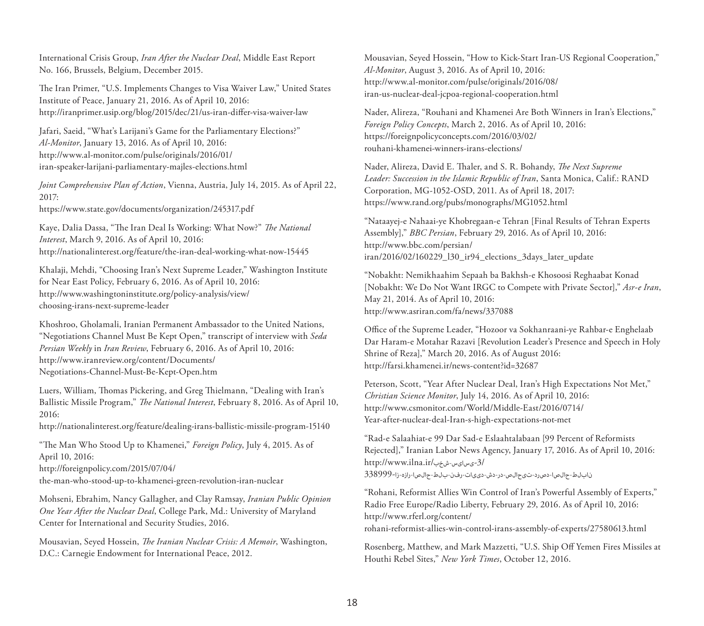International Crisis Group, *Iran After the Nuclear Deal*, Middle East Report No. 166, Brussels, Belgium, December 2015.

The Iran Primer, "U.S. Implements Changes to Visa Waiver Law," United States Institute of Peace, January 21, 2016. As of April 10, 2016: <http://iranprimer.usip.org/blog/2015/dec/21/us-iran-differ-visa-waiver-law>

Jafari, Saeid, "What's Larijani's Game for the Parliamentary Elections?" *Al-Monitor*, January 13, 2016. As of April 10, 2016: http://www.al-monitor.com/pulse/originals/2016/01/ [iran-speaker-larijani-parliamentary-majles-elections.html](http://www.al-monitor.com/pulse/originals/2016/01/iran-speaker-larijani-parliamentary-majles-elections.html)

*Joint Comprehensive Plan of Action*, Vienna, Austria, July 14, 2015. As of April 22, 2017: <https://www.state.gov/documents/organization/245317.pdf>

Kaye, Dalia Dassa, "The Iran Deal Is Working: What Now?" *The National* 

*Interest*, March 9, 2016. As of April 10, 2016: <http://nationalinterest.org/feature/the-iran-deal-working-what-now-15445>

Khalaji, Mehdi, "Choosing Iran's Next Supreme Leader," Washington Institute for Near East Policy, February 6, 2016. As of April 10, 2016: [http://www.washingtoninstitute.org/policy-analysis/view/](http://www.washingtoninstitute.org/policy-analysis/view/choosing-irans-next-supreme-leader) choosing-irans-next-supreme-leader

Khoshroo, Gholamali, Iranian Permanent Ambassador to the United Nations, "Negotiations Channel Must Be Kept Open," transcript of interview with *Seda Persian Weekly* in *Iran Review*, February 6, 2016. As of April 10, 2016: http://www.iranreview.org/content/Documents/ [Negotiations-Channel-Must-Be-Kept-Open.htm](http://www.iranreview.org/content/Documents/Negotiations-Channel-Must-Be-Kept-Open.htm)

Luers, William, Thomas Pickering, and Greg Thielmann, "Dealing with Iran's Ballistic Missile Program," *The National Interest*, February 8, 2016. As of April 10, 2016:

<http://nationalinterest.org/feature/dealing-irans-ballistic-missile-program-15140>

"The Man Who Stood Up to Khamenei," *Foreign Policy*, July 4, 2015. As of April 10, 2016:

http://foreignpolicy.com/2015/07/04/

[the-man-who-stood-up-to-khamenei-green-revolution-iran-nuclear](http://foreignpolicy.com/2015/07/04/the-man-who-stood-up-to-khamenei-green-revolution-iran-nuclear)

Mohseni, Ebrahim, Nancy Gallagher, and Clay Ramsay, *Iranian Public Opinion One Year After the Nuclear Deal*, College Park, Md.: University of Maryland Center for International and Security Studies, 2016.

Mousavian, Seyed Hossein, *The Iranian Nuclear Crisis: A Memoir*, Washington, D.C.: Carnegie Endowment for International Peace, 2012.

Mousavian, Seyed Hossein, "How to Kick-Start Iran-US Regional Cooperation," *Al-Monitor*, August 3, 2016. As of April 10, 2016: http://www.al-monitor.com/pulse/originals/2016/08/ [iran-us-nuclear-deal-jcpoa-regional-cooperation.html](http://www.al-monitor.com/pulse/originals/2016/08/iran-us-nuclear-deal-jcpoa-regional-cooperation.html)

Nader, Alireza, "Rouhani and Khamenei Are Both Winners in Iran's Elections," *Foreign Policy Concepts*, March 2, 2016. As of April 10, 2016: [https://foreignpolicyconcepts.com/2016/03/02/](https://foreignpolicyconcepts.com/2016/03/02/rouhani-khamenei-winners-irans-elections/) rouhani-khamenei-winners-irans-elections/

Nader, Alireza, David E. Thaler, and S. R. Bohandy, *The Next Supreme Leader: Succession in the Islamic Republic of Iran*, Santa Monica, Calif.: RAND Corporation, MG-1052-OSD, 2011. As of April 18, 2017: <https://www.rand.org/pubs/monographs/MG1052.html>

"Nataayej-e Nahaai-ye Khobregaan-e Tehran [Final Results of Tehran Experts Assembly]," *BBC Persian*, February 29, 2016. As of April 10, 2016: http://www.bbc.com/persian/ [iran/2016/02/160229\\_l30\\_ir94\\_elections\\_3days\\_later\\_update](http://www.bbc.com/persian/iran/2016/02/160229_l30_ir94_elections_3days_later_update)

"Nobakht: Nemikhaahim Sepaah ba Bakhsh-e Khosoosi Reghaabat Konad [Nobakht: We Do Not Want IRGC to Compete with Private Sector]," *Asr-e Iran*, May 21, 2014. As of April 10, 2016: <http://www.asriran.com/fa/news/337088>

Office of the Supreme Leader, "Hozoor va Sokhanraani-ye Rahbar-e Enghelaab Dar Haram-e Motahar Razavi [Revolution Leader's Presence and Speech in Holy Shrine of Reza]," March 20, 2016. As of August 2016: <http://farsi.khamenei.ir/news-content?id=32687>

Peterson, Scott, "Year After Nuclear Deal, Iran's High Expectations Not Met," *Christian Science Monitor*, July 14, 2016. As of April 10, 2016: [http://www.csmonitor.com/World/Middle-East/2016/0714/](http://www.csmonitor.com/World/Middle-East/2016/0714/Year-after-nuclear-deal-Iran-s-high-expectations-not-met) Year-after-nuclear-deal-Iran-s-high-expectations-not-met

"Rad-e Salaahiat-e 99 Dar Sad-e Eslaahtalabaan [99 Percent of Reformists Rejected]," Iranian Labor News Agency, January 17, 2016. As of April 10, 2016: http://www.ilna.ir/شخب-یسایس-3/ [نابلط-حالصا-دصرد-تیحالص-در-دش-دییات-رفن-بلط-حالصا-رازه-زا](http://www.ilna.ir/%D8%A8%D8%AE%D8%B4-%D8%B3%DB%8C%D8%A7%D8%B3%DB%8C-3/338999-%D8%A7%D8%B2-%D9%87%D8%B2%D8%A7%D8%B1-%D8%A7%D8%B5%D9%84%D8%A7%D8%AD-%D8%B7%D9%84%D8%A8-%D9%86%D9%81%D8%B1-%D8%AA%D8%A7%DB%8C%DB%8C%D8%AF-%D8%B4%D8%AF-%D8%B1%D8%AF-%D8%B5%D9%84%D8%A7%D8%AD%DB%8C%D8%AA-%D8%AF%D8%B1%D8%B5%D8%AF-%D8%A7%D8%B5%D9%84%D8%A7%D8%AD-%D8%B7%D9%84%D8%A8%D8%A7%D9%86)338999-

"Rohani, Reformist Allies Win Control of Iran's Powerful Assembly of Experts," Radio Free Europe/Radio Liberty, February 29, 2016. As of April 10, 2016: http://www.rferl.org/content/ [rohani-reformist-allies-win-control-irans-assembly-of-experts/27580613.html](http://www.rferl.org/content/rohani-reformist-allies-win-control-irans-assembly-of-experts/27580613.html)

Rosenberg, Matthew, and Mark Mazzetti, "U.S. Ship Off Yemen Fires Missiles at Houthi Rebel Sites," *New York Times*, October 12, 2016.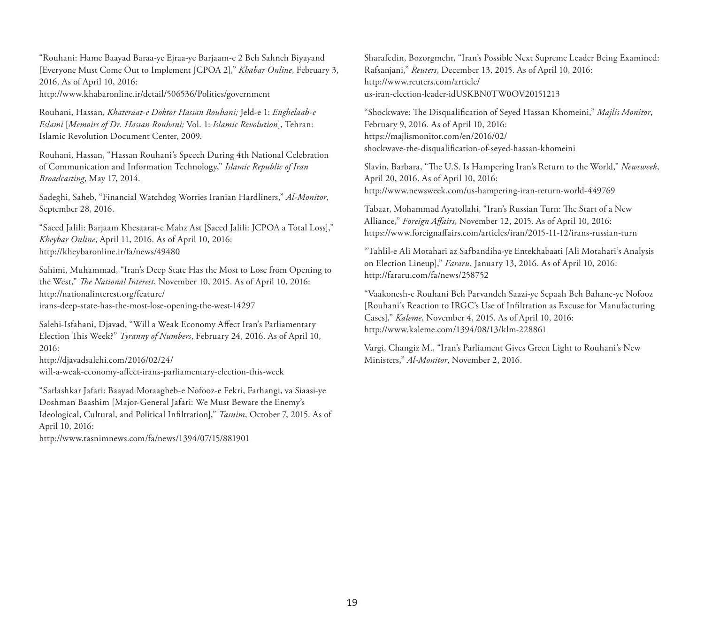"Rouhani: Hame Baayad Baraa-ye Ejraa-ye Barjaam-e 2 Beh Sahneh Biyayand [Everyone Must Come Out to Implement JCPOA 2]," *Khabar Online*, February 3, 2016. As of April 10, 2016: <http://www.khabaronline.ir/detail/506536/Politics/government>

Rouhani, Hassan, *Khateraat-e Doktor Hassan Rouhani;* Jeld-e 1: *Enghelaab-e Eslami* [*Memoirs of Dr. Hassan Rouhani;* Vol. 1: *Islamic Revolution*], Tehran: Islamic Revolution Document Center, 2009.

Rouhani, Hassan, "Hassan Rouhani's Speech During 4th National Celebration of Communication and Information Technology," *Islamic Republic of Iran Broadcasting*, May 17, 2014.

Sadeghi, Saheb, "Financial Watchdog Worries Iranian Hardliners," *Al-Monitor*, September 28, 2016.

"Saeed Jalili: Barjaam Khesaarat-e Mahz Ast [Saeed Jalili: JCPOA a Total Loss]," *Kheybar Online*, April 11, 2016. As of April 10, 2016: <http://kheybaronline.ir/fa/news/49480>

Sahimi, Muhammad, "Iran's Deep State Has the Most to Lose from Opening to the West," *The National Interest*, November 10, 2015. As of April 10, 2016: http://nationalinterest.org/feature/ [irans-deep-state-has-the-most-lose-opening-the-west-14297](http://nationalinterest.org/feature/irans-deep-state-has-the-most-lose-opening-the-west-14297)

Salehi-Isfahani, Djavad, "Will a Weak Economy Affect Iran's Parliamentary Election This Week?" *Tyranny of Numbers*, February 24, 2016. As of April 10, 2016:

http://djavadsalehi.com/2016/02/24/ [will-a-weak-economy-affect-irans-parliamentary-election-this-week](http://djavadsalehi.com/2016/02/24/will-a-weak-economy-affect-irans-parliamentary-election-this-week)

"Sarlashkar Jafari: Baayad Moraagheb-e Nofooz-e Fekri, Farhangi, va Siaasi-ye Doshman Baashim [Major-General Jafari: We Must Beware the Enemy's Ideological, Cultural, and Political Infiltration]," *Tasnim*, October 7, 2015. As of April 10, 2016:

<http://www.tasnimnews.com/fa/news/1394/07/15/881901>

Sharafedin, Bozorgmehr, "Iran's Possible Next Supreme Leader Being Examined: Rafsanjani," *Reuters*, December 13, 2015. As of April 10, 2016: http://www.reuters.com/article/ [us-iran-election-leader-idUSKBN0TW0OV20151213](http://www.reuters.com/article/)

"Shockwave: The Disqualification of Seyed Hassan Khomeini," *Majlis Monitor*, February 9, 2016. As of April 10, 2016: https://majlismonitor.com/en/2016/02/ [shockwave-the-disqualification-of-seyed-hassan-khomeini](https://majlismonitor.com/en/2016/02/shockwave-the-disqualification-of-seyed-hassan-khomeini)

Slavin, Barbara, "The U.S. Is Hampering Iran's Return to the World," *Newsweek*, April 20, 2016. As of April 10, 2016: <http://www.newsweek.com/us-hampering-iran-return-world-449769>

Tabaar, Mohammad Ayatollahi, "Iran's Russian Turn: The Start of a New Alliance," *Foreign Affairs*, November 12, 2015. As of April 10, 2016: <https://www.foreignaffairs.com/articles/iran/2015-11-12/irans-russian-turn>

"Tahlil-e Ali Motahari az Safbandiha-ye Entekhabaati [Ali Motahari's Analysis on Election Lineup]," *Fararu*, January 13, 2016. As of April 10, 2016: <http://fararu.com/fa/news/258752>

"Vaakonesh-e Rouhani Beh Parvandeh Saazi-ye Sepaah Beh Bahane-ye Nofooz [Rouhani's Reaction to IRGC's Use of Infiltration as Excuse for Manufacturing Cases]," *Kaleme*, November 4, 2015. As of April 10, 2016: <http://www.kaleme.com/1394/08/13/klm-228861>

Vargi, Changiz M., "Iran's Parliament Gives Green Light to Rouhani's New Ministers," *Al-Monitor*, November 2, 2016.